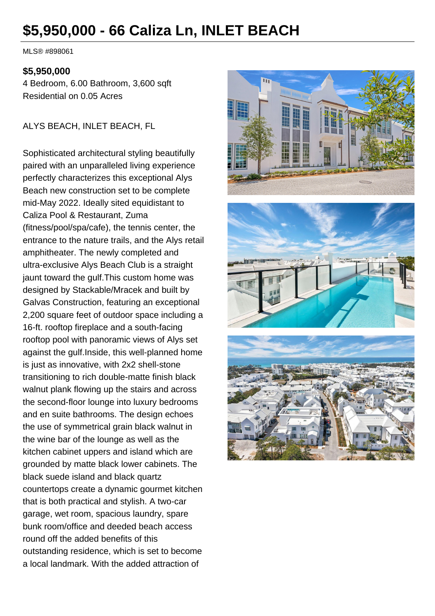# **\$5,950,000 - 66 Caliza Ln, INLET BEACH**

MLS® #898061

#### **\$5,950,000**

4 Bedroom, 6.00 Bathroom, 3,600 sqft Residential on 0.05 Acres

ALYS BEACH, INLET BEACH, FL

Sophisticated architectural styling beautifully paired with an unparalleled living experience perfectly characterizes this exceptional Alys Beach new construction set to be complete mid-May 2022. Ideally sited equidistant to Caliza Pool & Restaurant, Zuma (fitness/pool/spa/cafe), the tennis center, the entrance to the nature trails, and the Alys retail amphitheater. The newly completed and ultra-exclusive Alys Beach Club is a straight jaunt toward the gulf.This custom home was designed by Stackable/Mracek and built by Galvas Construction, featuring an exceptional 2,200 square feet of outdoor space including a 16-ft. rooftop fireplace and a south-facing rooftop pool with panoramic views of Alys set against the gulf.Inside, this well-planned home is just as innovative, with 2x2 shell-stone transitioning to rich double-matte finish black walnut plank flowing up the stairs and across the second-floor lounge into luxury bedrooms and en suite bathrooms. The design echoes the use of symmetrical grain black walnut in the wine bar of the lounge as well as the kitchen cabinet uppers and island which are grounded by matte black lower cabinets. The black suede island and black quartz countertops create a dynamic gourmet kitchen that is both practical and stylish. A two-car garage, wet room, spacious laundry, spare bunk room/office and deeded beach access round off the added benefits of this outstanding residence, which is set to become a local landmark. With the added attraction of



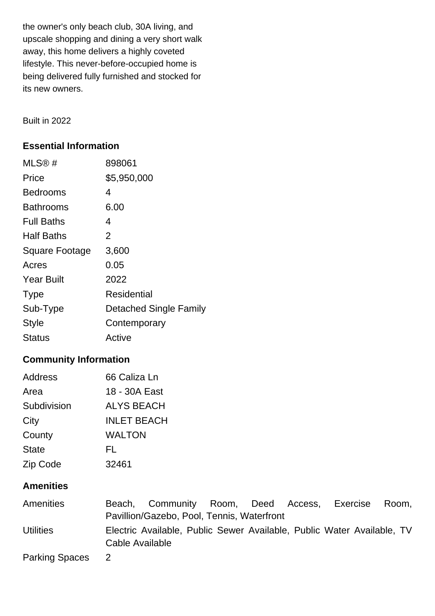the owner's only beach club, 30A living, and upscale shopping and dining a very short walk away, this home delivers a highly coveted lifestyle. This never-before-occupied home is being delivered fully furnished and stocked for its new owners.

Built in 2022

### **Essential Information**

| MLS@#             | 898061                 |
|-------------------|------------------------|
| Price             | \$5,950,000            |
| Bedrooms          | 4                      |
| Bathrooms         | 6.00                   |
| <b>Full Baths</b> | 4                      |
| <b>Half Baths</b> | 2                      |
| Square Footage    | 3,600                  |
| Acres             | 0.05                   |
| <b>Year Built</b> | 2022                   |
| <b>Type</b>       | <b>Residential</b>     |
| Sub-Type          | Detached Single Family |
| <b>Style</b>      | Contemporary           |
| Status            | Active                 |

## **Community Information**

| Address      | 66 Caliza Ln       |
|--------------|--------------------|
| Area         | 18 - 30A East      |
| Subdivision  | <b>ALYS BEACH</b>  |
| City         | <b>INLET BEACH</b> |
| County       | <b>WALTON</b>      |
| <b>State</b> | FL                 |
| Zip Code     | 32461              |

### **Amenities**

| Amenities             |                 | Beach, Community Room, Deed Access,                                    |  | Exercise | Room. |
|-----------------------|-----------------|------------------------------------------------------------------------|--|----------|-------|
|                       |                 | Pavillion/Gazebo, Pool, Tennis, Waterfront                             |  |          |       |
| <b>Utilities</b>      | Cable Available | Electric Available, Public Sewer Available, Public Water Available, TV |  |          |       |
| <b>Parking Spaces</b> | <sup>2</sup>    |                                                                        |  |          |       |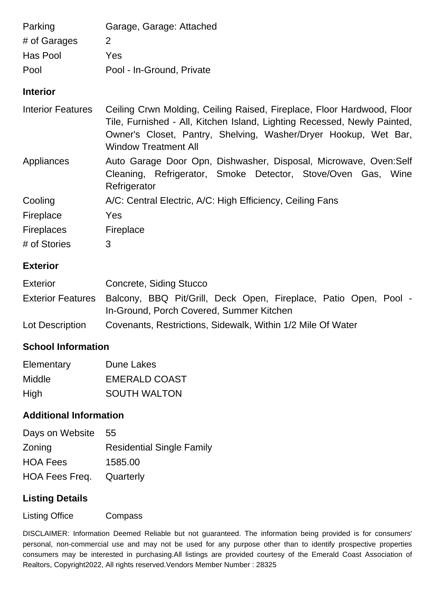| Parking                  | Garage, Garage: Attached                                                                                                                                                                                                                             |
|--------------------------|------------------------------------------------------------------------------------------------------------------------------------------------------------------------------------------------------------------------------------------------------|
| # of Garages             | 2                                                                                                                                                                                                                                                    |
| Has Pool                 | Yes                                                                                                                                                                                                                                                  |
| Pool                     | Pool - In-Ground, Private                                                                                                                                                                                                                            |
| <b>Interior</b>          |                                                                                                                                                                                                                                                      |
| <b>Interior Features</b> | Ceiling Crwn Molding, Ceiling Raised, Fireplace, Floor Hardwood, Floor<br>Tile, Furnished - All, Kitchen Island, Lighting Recessed, Newly Painted,<br>Owner's Closet, Pantry, Shelving, Washer/Dryer Hookup, Wet Bar,<br><b>Window Treatment All</b> |
| Appliances               | Auto Garage Door Opn, Dishwasher, Disposal, Microwave, Oven:Self<br>Cleaning, Refrigerator, Smoke Detector, Stove/Oven Gas, Wine<br>Refrigerator                                                                                                     |
| Cooling                  | A/C: Central Electric, A/C: High Efficiency, Ceiling Fans                                                                                                                                                                                            |
| Fireplace                | Yes                                                                                                                                                                                                                                                  |
| <b>Fireplaces</b>        | Fireplace                                                                                                                                                                                                                                            |
| # of Stories             | 3                                                                                                                                                                                                                                                    |
| <b>Exterior</b>          |                                                                                                                                                                                                                                                      |
| <b>Exterior</b>          | Concrete, Siding Stucco                                                                                                                                                                                                                              |
| <b>Exterior Features</b> | Balcony, BBQ Pit/Grill, Deck Open, Fireplace, Patio Open, Pool -<br>In-Ground, Porch Covered, Summer Kitchen                                                                                                                                         |
| Lot Description          | Covenants, Restrictions, Sidewalk, Within 1/2 Mile Of Water                                                                                                                                                                                          |
| Cahaal lufaywatir        |                                                                                                                                                                                                                                                      |

#### **School Information**

| Elementary | Dune Lakes           |
|------------|----------------------|
| Middle     | <b>EMERALD COAST</b> |
| High       | <b>SOUTH WALTON</b>  |

### **Additional Information**

| Days on Website | -55                              |
|-----------------|----------------------------------|
| Zoning          | <b>Residential Single Family</b> |
| <b>HOA Fees</b> | 1585.00                          |
| HOA Fees Freq.  | Quarterly                        |

#### **Listing Details**

Listing Office Compass

DISCLAIMER: Information Deemed Reliable but not guaranteed. The information being provided is for consumers' personal, non-commercial use and may not be used for any purpose other than to identify prospective properties consumers may be interested in purchasing.All listings are provided courtesy of the Emerald Coast Association of Realtors, Copyright2022, All rights reserved. Vendors Member Number : 28325